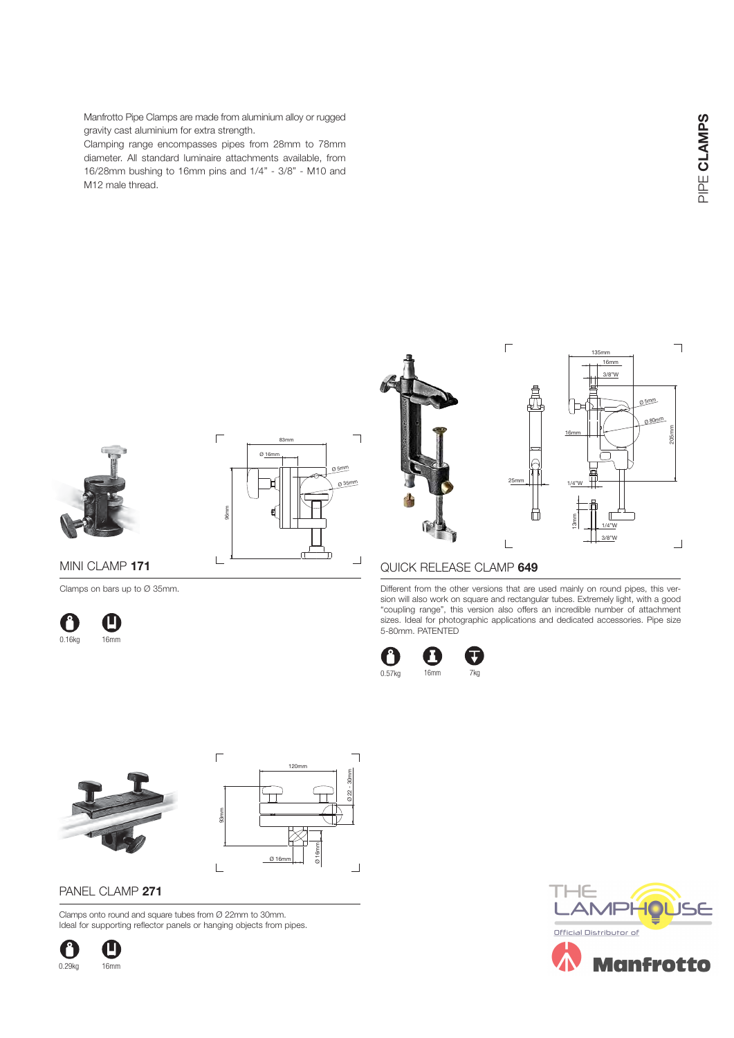Manfrotto Pipe Clamps are made from aluminium alloy or rugged gravity cast aluminium for extra strength.

Clamping range encompasses pipes from 28mm to 78mm diameter. All standard luminaire attachments available, from 16/28mm bushing to 16mm pins and 1/4" - 3/8" - M10 and M12 male thread.

 $\overline{\mathbb{L}}$ 





### MINI CLAMP **171**

Clamps on bars up to Ø 35mm.







3/8"W Ø 5mm Ø 80m<sup>m</sup> 205mm 16mm 25mm 1/4"W ₩  $\sqrt{ }$ 13mm 1/4"W 3/8"W  $\Box$  $\overline{\phantom{0}}$ 

135mm

16mm

#### QUICK RELEASE CLAMP **649**

Different from the other versions that are used mainly on round pipes, this version will also work on square and rectangular tubes. Extremely light, with a good "coupling range", this version also offers an incredible number of attachment sizes. Ideal for photographic applications and dedicated accessories. Pipe size 5-80mm. PATENTED

 $\overline{\Gamma}$ 









# PANEL CLAMP **271**

Clamps onto round and square tubes from Ø 22mm to 30mm. Ideal for supporting reflector panels or hanging objects from pipes.